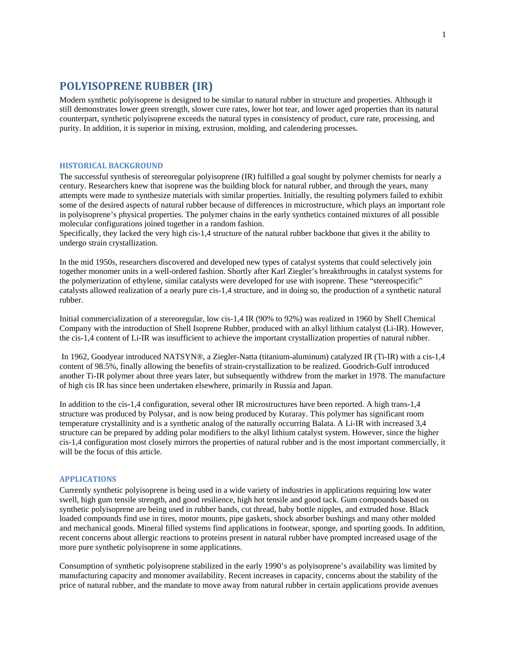## **POLYISOPRENE RUBBER (IR)**

Modern synthetic polyisoprene is designed to be similar to natural rubber in structure and properties. Although it still demonstrates lower green strength, slower cure rates, lower hot tear, and lower aged properties than its natural counterpart, synthetic polyisoprene exceeds the natural types in consistency of product, cure rate, processing, and purity. In addition, it is superior in mixing, extrusion, molding, and calendering processes.

#### **HISTORICAL BACKGROUND**

The successful synthesis of stereoregular polyisoprene (IR) fulfilled a goal sought by polymer chemists for nearly a century. Researchers knew that isoprene was the building block for natural rubber, and through the years, many attempts were made to synthesize materials with similar properties. Initially, the resulting polymers failed to exhibit some of the desired aspects of natural rubber because of differences in microstructure, which plays an important role in polyisoprene's physical properties. The polymer chains in the early synthetics contained mixtures of all possible molecular configurations joined together in a random fashion.

Specifically, they lacked the very high cis-1,4 structure of the natural rubber backbone that gives it the ability to undergo strain crystallization.

In the mid 1950s, researchers discovered and developed new types of catalyst systems that could selectively join together monomer units in a well-ordered fashion. Shortly after Karl Ziegler's breakthroughs in catalyst systems for the polymerization of ethylene, similar catalysts were developed for use with isoprene. These "stereospecific" catalysts allowed realization of a nearly pure cis-1,4 structure, and in doing so, the production of a synthetic natural rubber.

Initial commercialization of a stereoregular, low cis-1,4 IR (90% to 92%) was realized in 1960 by Shell Chemical Company with the introduction of Shell Isoprene Rubber, produced with an alkyl lithium catalyst (Li-IR). However, the cis-1,4 content of Li-IR was insufficient to achieve the important crystallization properties of natural rubber.

 In 1962, Goodyear introduced NATSYN®, a Ziegler-Natta (titanium-aluminum) catalyzed IR (Ti-IR) with a cis-1,4 content of 98.5%, finally allowing the benefits of strain-crystallization to be realized. Goodrich-Gulf introduced another Ti-IR polymer about three years later, but subsequently withdrew from the market in 1978. The manufacture of high cis IR has since been undertaken elsewhere, primarily in Russia and Japan.

In addition to the cis-1,4 configuration, several other IR microstructures have been reported. A high trans-1,4 structure was produced by Polysar, and is now being produced by Kuraray. This polymer has significant room temperature crystallinity and is a synthetic analog of the naturally occurring Balata. A Li-IR with increased 3,4 structure can be prepared by adding polar modifiers to the alkyl lithium catalyst system. However, since the higher cis-1,4 configuration most closely mirrors the properties of natural rubber and is the most important commercially, it will be the focus of this article.

#### **APPLICATIONS**

Currently synthetic polyisoprene is being used in a wide variety of industries in applications requiring low water swell, high gum tensile strength, and good resilience, high hot tensile and good tack. Gum compounds based on synthetic polyisoprene are being used in rubber bands, cut thread, baby bottle nipples, and extruded hose. Black loaded compounds find use in tires, motor mounts, pipe gaskets, shock absorber bushings and many other molded and mechanical goods. Mineral filled systems find applications in footwear, sponge, and sporting goods. In addition, recent concerns about allergic reactions to proteins present in natural rubber have prompted increased usage of the more pure synthetic polyisoprene in some applications.

Consumption of synthetic polyisoprene stabilized in the early 1990's as polyisoprene's availability was limited by manufacturing capacity and monomer availability. Recent increases in capacity, concerns about the stability of the price of natural rubber, and the mandate to move away from natural rubber in certain applications provide avenues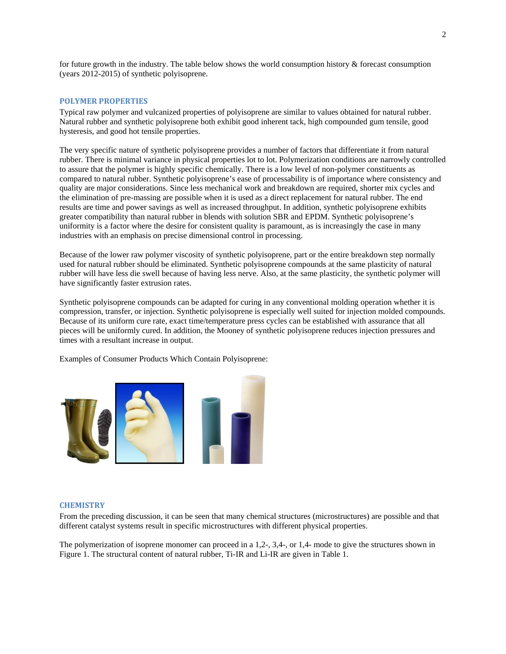for future growth in the industry. The table below shows the world consumption history & forecast consumption (years 2012-2015) of synthetic polyisoprene.

#### **POLYMER PROPERTIES**

Typical raw polymer and vulcanized properties of polyisoprene are similar to values obtained for natural rubber. Natural rubber and synthetic polyisoprene both exhibit good inherent tack, high compounded gum tensile, good hysteresis, and good hot tensile properties.

The very specific nature of synthetic polyisoprene provides a number of factors that differentiate it from natural rubber. There is minimal variance in physical properties lot to lot. Polymerization conditions are narrowly controlled to assure that the polymer is highly specific chemically. There is a low level of non-polymer constituents as compared to natural rubber. Synthetic polyisoprene's ease of processability is of importance where consistency and quality are major considerations. Since less mechanical work and breakdown are required, shorter mix cycles and the elimination of pre-massing are possible when it is used as a direct replacement for natural rubber. The end results are time and power savings as well as increased throughput. In addition, synthetic polyisoprene exhibits greater compatibility than natural rubber in blends with solution SBR and EPDM. Synthetic polyisoprene's uniformity is a factor where the desire for consistent quality is paramount, as is increasingly the case in many industries with an emphasis on precise dimensional control in processing.

Because of the lower raw polymer viscosity of synthetic polyisoprene, part or the entire breakdown step normally used for natural rubber should be eliminated. Synthetic polyisoprene compounds at the same plasticity of natural rubber will have less die swell because of having less nerve. Also, at the same plasticity, the synthetic polymer will have significantly faster extrusion rates.

Synthetic polyisoprene compounds can be adapted for curing in any conventional molding operation whether it is compression, transfer, or injection. Synthetic polyisoprene is especially well suited for injection molded compounds. Because of its uniform cure rate, exact time/temperature press cycles can be established with assurance that all pieces will be uniformly cured. In addition, the Mooney of synthetic polyisoprene reduces injection pressures and times with a resultant increase in output.

Examples of Consumer Products Which Contain Polyisoprene:



#### **CHEMISTRY**

From the preceding discussion, it can be seen that many chemical structures (microstructures) are possible and that different catalyst systems result in specific microstructures with different physical properties.

The polymerization of isoprene monomer can proceed in a 1,2-, 3,4-, or 1,4- mode to give the structures shown in Figure 1. The structural content of natural rubber, Ti-IR and Li-IR are given in Table 1.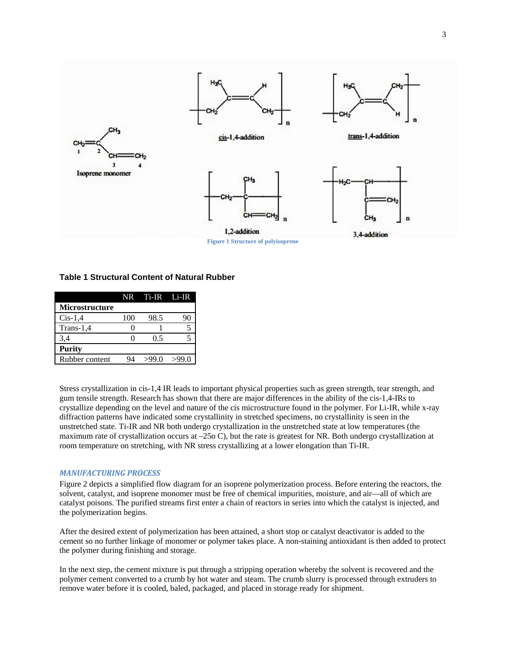

**Figure 1 Structure of polyisoprene** 

### **Table 1 Structural Content of Natural Rubber**

|                       |     | NR Ti-IR Li-IR |       |
|-----------------------|-----|----------------|-------|
| <b>Microstructure</b> |     |                |       |
| $Cis-1,4$             | 100 | 98.5           |       |
| $Trans-1.4$           |     |                |       |
| 3,4                   |     | 0.5            |       |
| <b>Purity</b>         |     |                |       |
| Rubber content        |     | >99.0          | >99.0 |

Stress crystallization in cis-1,4 IR leads to important physical properties such as green strength, tear strength, and gum tensile strength. Research has shown that there are major differences in the ability of the cis-1,4-IRs to crystallize depending on the level and nature of the cis microstructure found in the polymer. For Li-IR, while x-ray diffraction patterns have indicated some crystallinity in stretched specimens, no crystallinity is seen in the unstretched state. Ti-IR and NR both undergo crystallization in the unstretched state at low temperatures (the maximum rate of crystallization occurs at  $-25$  C), but the rate is greatest for NR. Both undergo crystallization at room temperature on stretching, with NR stress crystallizing at a lower elongation than Ti-IR.

#### *MANUFACTURING PROCESS*

Figure 2 depicts a simplified flow diagram for an isoprene polymerization process. Before entering the reactors, the solvent, catalyst, and isoprene monomer must be free of chemical impurities, moisture, and air—all of which are catalyst poisons. The purified streams first enter a chain of reactors in series into which the catalyst is injected, and the polymerization begins.

After the desired extent of polymerization has been attained, a short stop or catalyst deactivator is added to the cement so no further linkage of monomer or polymer takes place. A non-staining antioxidant is then added to protect the polymer during finishing and storage.

In the next step, the cement mixture is put through a stripping operation whereby the solvent is recovered and the polymer cement converted to a crumb by hot water and steam. The crumb slurry is processed through extruders to remove water before it is cooled, baled, packaged, and placed in storage ready for shipment.